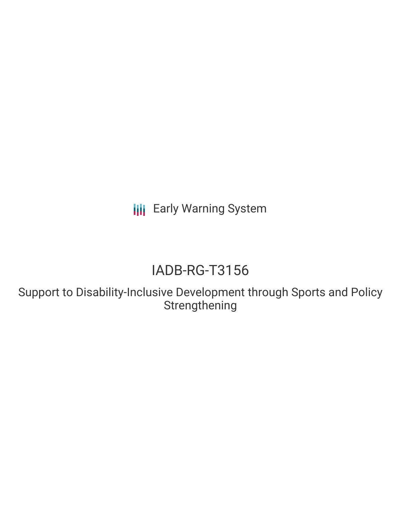**III** Early Warning System

# IADB-RG-T3156

Support to Disability-Inclusive Development through Sports and Policy Strengthening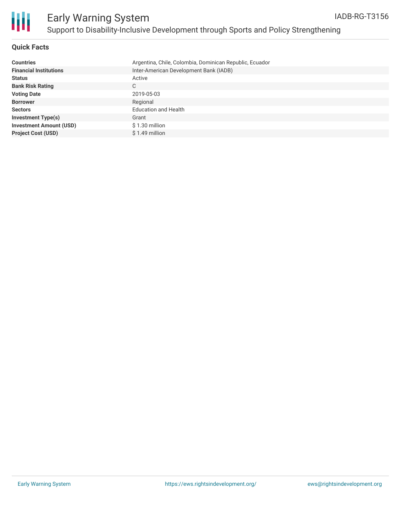

#### **Quick Facts**

| <b>Countries</b>               | Argentina, Chile, Colombia, Dominican Republic, Ecuador |
|--------------------------------|---------------------------------------------------------|
| <b>Financial Institutions</b>  | Inter-American Development Bank (IADB)                  |
| <b>Status</b>                  | Active                                                  |
| <b>Bank Risk Rating</b>        | С                                                       |
| <b>Voting Date</b>             | 2019-05-03                                              |
| <b>Borrower</b>                | Regional                                                |
| <b>Sectors</b>                 | <b>Education and Health</b>                             |
| <b>Investment Type(s)</b>      | Grant                                                   |
| <b>Investment Amount (USD)</b> | $$1.30$ million                                         |
| <b>Project Cost (USD)</b>      | $$1.49$ million                                         |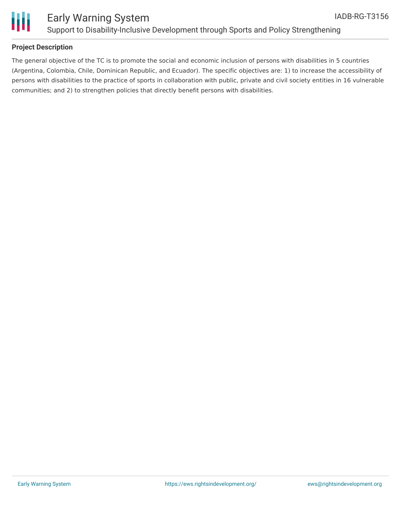

# Ш

## Early Warning System Support to Disability-Inclusive Development through Sports and Policy Strengthening

#### **Project Description**

The general objective of the TC is to promote the social and economic inclusion of persons with disabilities in 5 countries (Argentina, Colombia, Chile, Dominican Republic, and Ecuador). The specific objectives are: 1) to increase the accessibility of persons with disabilities to the practice of sports in collaboration with public, private and civil society entities in 16 vulnerable communities; and 2) to strengthen policies that directly benefit persons with disabilities.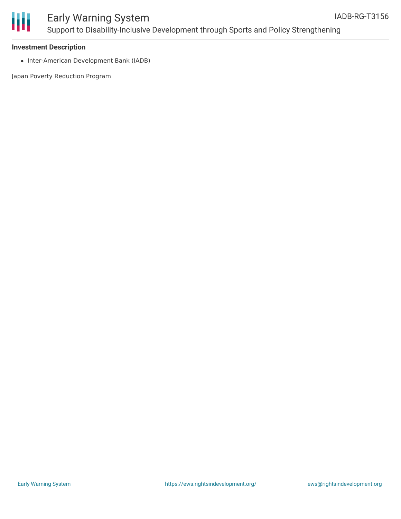

# Early Warning System Support to Disability-Inclusive Development through Sports and Policy Strengthening

#### **Investment Description**

• Inter-American Development Bank (IADB)

Japan Poverty Reduction Program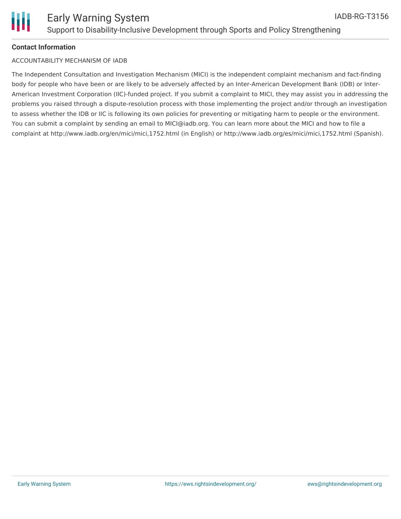#### **Contact Information**

#### ACCOUNTABILITY MECHANISM OF IADB

The Independent Consultation and Investigation Mechanism (MICI) is the independent complaint mechanism and fact-finding body for people who have been or are likely to be adversely affected by an Inter-American Development Bank (IDB) or Inter-American Investment Corporation (IIC)-funded project. If you submit a complaint to MICI, they may assist you in addressing the problems you raised through a dispute-resolution process with those implementing the project and/or through an investigation to assess whether the IDB or IIC is following its own policies for preventing or mitigating harm to people or the environment. You can submit a complaint by sending an email to MICI@iadb.org. You can learn more about the MICI and how to file a complaint at http://www.iadb.org/en/mici/mici,1752.html (in English) or http://www.iadb.org/es/mici/mici,1752.html (Spanish).